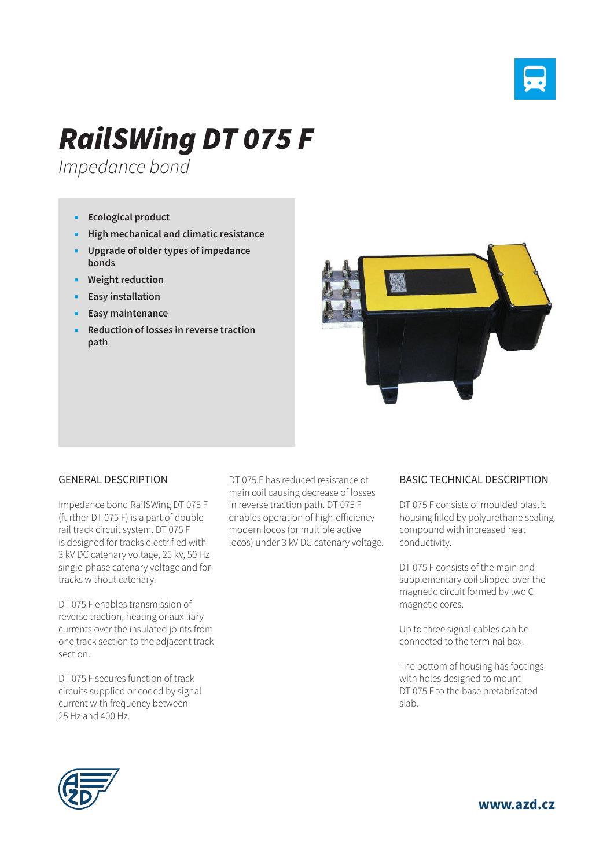

## *RailSWing DT 075 F*

*Impedance bond*

- **Ecological product**
- **High mechanical and climatic resistance**
- **Upgrade of older types of impedance bonds**
- **Weight reduction**
- **Easy installation**
- **Easy maintenance**
- **Reduction of losses in reverse traction path**



## GENERAL DESCRIPTION

Impedance bond RailSWing DT 075 F (further DT 075 F) is a part of double rail track circuit system. DT 075 F is designed for tracks electrified with 3 kV DC catenary voltage, 25 kV, 50 Hz single-phase catenary voltage and for tracks without catenary.

DT 075 F enables transmission of reverse traction, heating or auxiliary currents over the insulated joints from one track section to the adjacent track section.

DT 075 F secures function of track circuits supplied or coded by signal current with frequency between 25 Hz and 400 Hz.

DT 075 F has reduced resistance of main coil causing decrease of losses in reverse traction path. DT 075 F enables operation of high-efficiency modern locos (or multiple active locos) under 3 kV DC catenary voltage.

## BASIC TECHNICAL DESCRIPTION

DT 075 F consists of moulded plastic housing filled by polyurethane sealing compound with increased heat conductivity.

DT 075 F consists of the main and supplementary coil slipped over the magnetic circuit formed by two C magnetic cores.

Up to three signal cables can be connected to the terminal box.

The bottom of housing has footings with holes designed to mount DT 075 F to the base prefabricated slab.



**www.azd.cz**